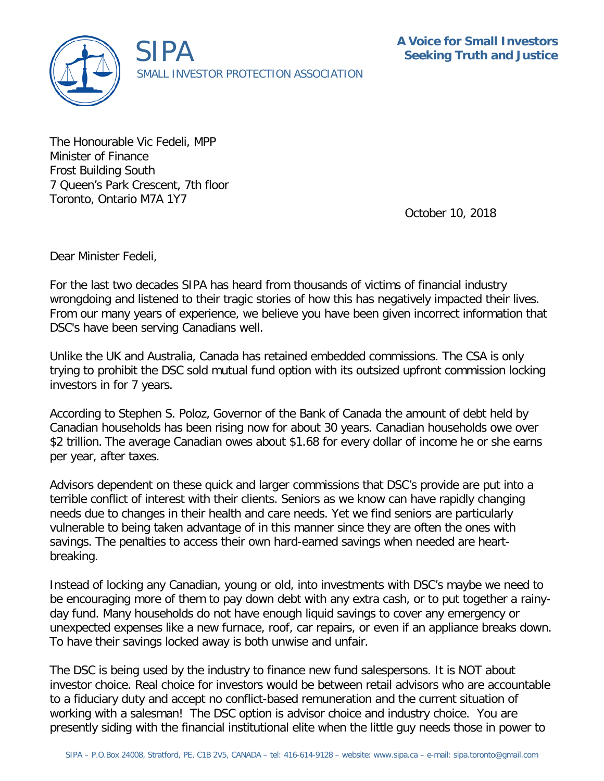

The Honourable Vic Fedeli, MPP Minister of Finance Frost Building South 7 Queen's Park Crescent, 7th floor Toronto, Ontario M7A 1Y7

October 10, 2018

Dear Minister Fedeli,

For the last two decades SIPA has heard from thousands of victims of financial industry wrongdoing and listened to their tragic stories of how this has negatively impacted their lives. From our many years of experience, we believe you have been given incorrect information that DSC's have been serving Canadians well.

Unlike the UK and Australia, Canada has retained embedded commissions. The CSA is only trying to prohibit the DSC sold mutual fund option with its outsized upfront commission locking investors in for 7 years.

According to Stephen S. Poloz, Governor of the Bank of Canada the amount of debt held by Canadian households has been rising now for about 30 years. Canadian households owe over \$2 trillion. The average Canadian owes about \$1.68 for every dollar of income he or she earns per year, after taxes.

Advisors dependent on these quick and larger commissions that DSC's provide are put into a terrible conflict of interest with their clients. Seniors as we know can have rapidly changing needs due to changes in their health and care needs. Yet we find seniors are particularly vulnerable to being taken advantage of in this manner since they are often the ones with savings. The penalties to access their own hard-earned savings when needed are heartbreaking.

Instead of locking any Canadian, young or old, into investments with DSC's maybe we need to be encouraging more of them to pay down debt with any extra cash, or to put together a rainyday fund. Many households do not have enough liquid savings to cover any emergency or unexpected expenses like a new furnace, roof, car repairs, or even if an appliance breaks down. To have their savings locked away is both unwise and unfair.

The DSC is being used by the industry to finance new fund salespersons. It is NOT about investor choice. Real choice for investors would be between retail advisors who are accountable to a fiduciary duty and accept no conflict-based remuneration and the current situation of working with a salesman! The DSC option is advisor choice and industry choice. You are presently siding with the financial institutional elite when the little guy needs those in power to